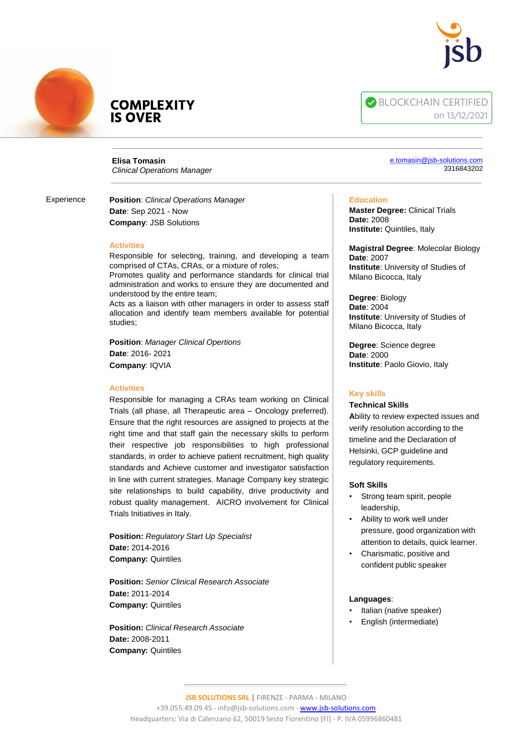



# **COMPLEXITY IS OVER**

**Elisa Tomasin** *Clinical Operations Manager*

Experience

**Position**: *Clinical Operations Manager* **Date**: Sep 2021 - Now **Company**: JSB Solutions

# **Activities**

Responsible for selecting, training, and developing a team comprised of CTAs, CRAs, or a mixture of roles;

Promotes quality and performance standards for clinical trial administration and works to ensure they are documented and understood by the entire team;

Acts as a liaison with other managers in order to assess staff allocation and identify team members available for potential studies;

**Position**: *Manager Clinical Opertions* **Date**: 2016- 2021 **Company**: IQVIA

## **Activities**

Responsible for managing a CRAs team working on Clinical Trials (all phase, all Therapeutic area – Oncology preferred). Ensure that the right resources are assigned to projects at the right time and that staff gain the necessary skills to perform their respective job responsibilities to high professional standards, in order to achieve patient recruitment, high quality standards and Achieve customer and investigator satisfaction in line with current strategies. Manage Company key strategic site relationships to build capability, drive productivity and robust quality management. AICRO involvement for Clinical Trials Initiatives in Italy.

**Position:** *Regulatory Start Up Specialist* **Date:** 2014-2016 **Company:** Quintiles

**Position:** *Senior Clinical Research Associate* **Date:** 2011-2014 **Company:** Quintiles

**Position:** *Clinical Research Associate* **Date:** 2008-2011 **Company:** Quintiles

**BLOCKCHAIN CERTIFIED** on 13/12/2021

#### [e.tomasin@jsb-solutions.com](mailto:e.tomasin@jsb-solutions.com) 3316843202

#### **Education**

**Master Degree:** Clinical Trials **Date:** 2008 **Institute:** Quintiles, Italy

**Magistral Degree**: Molecolar Biology **Date**: 2007 **Institute**: University of Studies of Milano Bicocca, Italy

**Degree**: Biology **Date**: 2004 **Institute**: University of Studies of Milano Bicocca, Italy

**Degree**: Science degree **Date**: 2000 **Institute**: Paolo Giovio, Italy

# **Key skills**

## **Technical Skills**

**A**bility to review expected issues and verify resolution according to the timeline and the Declaration of Helsinki, GCP guideline and regulatory requirements.

## **Soft Skills**

- Strong team spirit, people leadership,
- Ability to work well under pressure, good organization with attention to details, quick learner.
- Charismatic, positive and confident public speaker

## **Languages**:

- Italian (native speaker)
- English (intermediate)

**JSB SOLUTIONS SRL |** FIRENZE - PARMA - MILANO +39.055.49.09.45 - info@jsb-solutions.com - [www.jsb-solutions.com](http://www.jsb-solutions.com/) Headquarters: Via di Calenzano 62, 50019 Sesto Fiorentino (FI) - P. IVA 05996860481